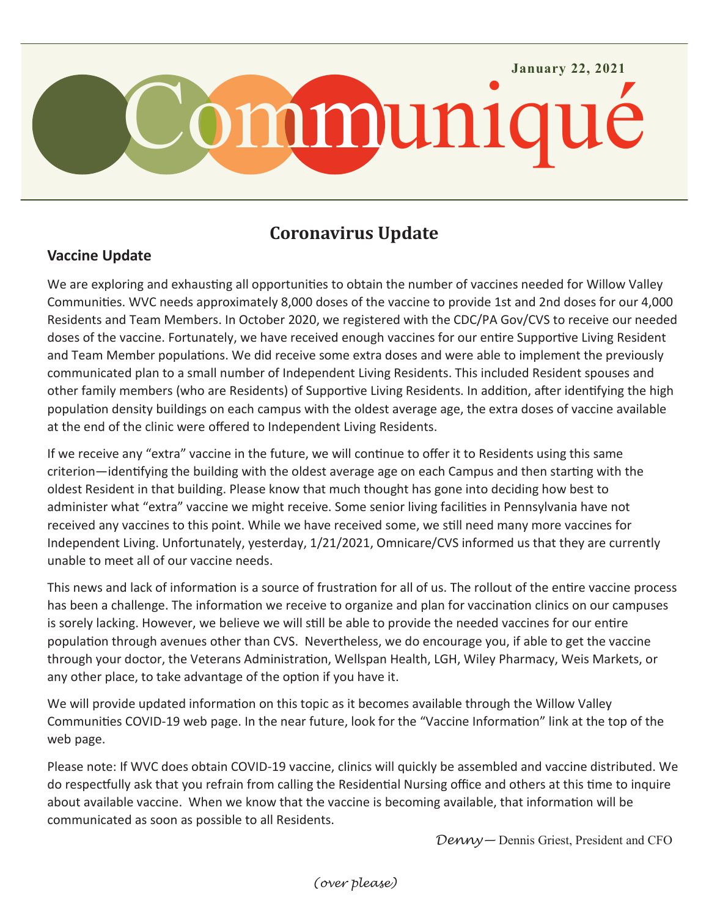

## **Coronavirus Update**

## **Vaccine Update**

We are exploring and exhausting all opportunities to obtain the number of vaccines needed for Willow Valley Communities. WVC needs approximately 8,000 doses of the vaccine to provide 1st and 2nd doses for our 4,000 Residents and Team Members. In October 2020, we registered with the CDC/PA Gov/CVS to receive our needed doses of the vaccine. Fortunately, we have received enough vaccines for our entire Supportive Living Resident and Team Member populations. We did receive some extra doses and were able to implement the previously communicated plan to a small number of Independent Living Residents. This included Resident spouses and other family members (who are Residents) of Supportive Living Residents. In addition, after identifying the high population density buildings on each campus with the oldest average age, the extra doses of vaccine available at the end of the clinic were offered to Independent Living Residents.

If we receive any "extra" vaccine in the future, we will continue to offer it to Residents using this same criterion—identifying the building with the oldest average age on each Campus and then starting with the oldest Resident in that building. Please know that much thought has gone into deciding how best to administer what "extra" vaccine we might receive. Some senior living facilities in Pennsylvania have not received any vaccines to this point. While we have received some, we still need many more vaccines for Independent Living. Unfortunately, yesterday, 1/21/2021, Omnicare/CVS informed us that they are currently unable to meet all of our vaccine needs.

This news and lack of information is a source of frustration for all of us. The rollout of the entire vaccine process has been a challenge. The information we receive to organize and plan for vaccination clinics on our campuses is sorely lacking. However, we believe we will still be able to provide the needed vaccines for our entire population through avenues other than CVS. Nevertheless, we do encourage you, if able to get the vaccine through your doctor, the Veterans Administration, Wellspan Health, LGH, Wiley Pharmacy, Weis Markets, or any other place, to take advantage of the option if you have it.

We will provide updated information on this topic as it becomes available through the Willow Valley Communities COVID-19 web page. In the near future, look for the "Vaccine Information" link at the top of the web page.

Please note: If WVC does obtain COVID-19 vaccine, clinics will quickly be assembled and vaccine distributed. We do respectfully ask that you refrain from calling the Residential Nursing office and others at this time to inquire about available vaccine. When we know that the vaccine is becoming available, that information will be communicated as soon as possible to all Residents.

*Denny—* Dennis Griest, President and CFO